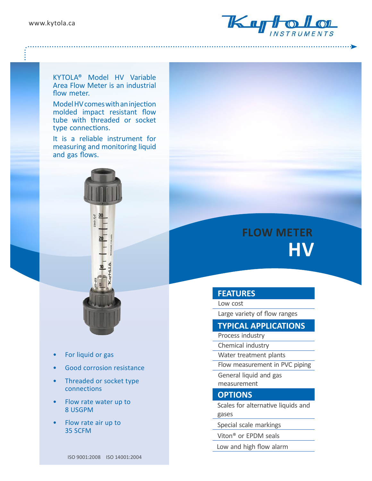

. . . . . . . . . 2

KYTOLA® Model HV Variable Area Flow Meter is an industrial flow meter.

Model HV comes with an injection molded impact resistant flow tube with threaded or socket type connections.

It is a reliable instrument for measuring and monitoring liquid and gas flows.



- For liquid or gas
- Good corrosion resistance
- Threaded or socket type connections
- Flow rate water up to 8 USGPM
- Flow rate air up to 35 SCFM

## **FLOW METER HV**

## **FEATURES**

Low cost

Large variety of flow ranges

## **TYPICAL APPLICATIONS**

- Process industry
- Chemical industry

Water treatment plants

Flow measurement in PVC piping

General liquid and gas measurement

## **OPTIONS**

Scales for alternative liquids and gases

Special scale markings

Viton® or EPDM seals

Low and high flow alarm